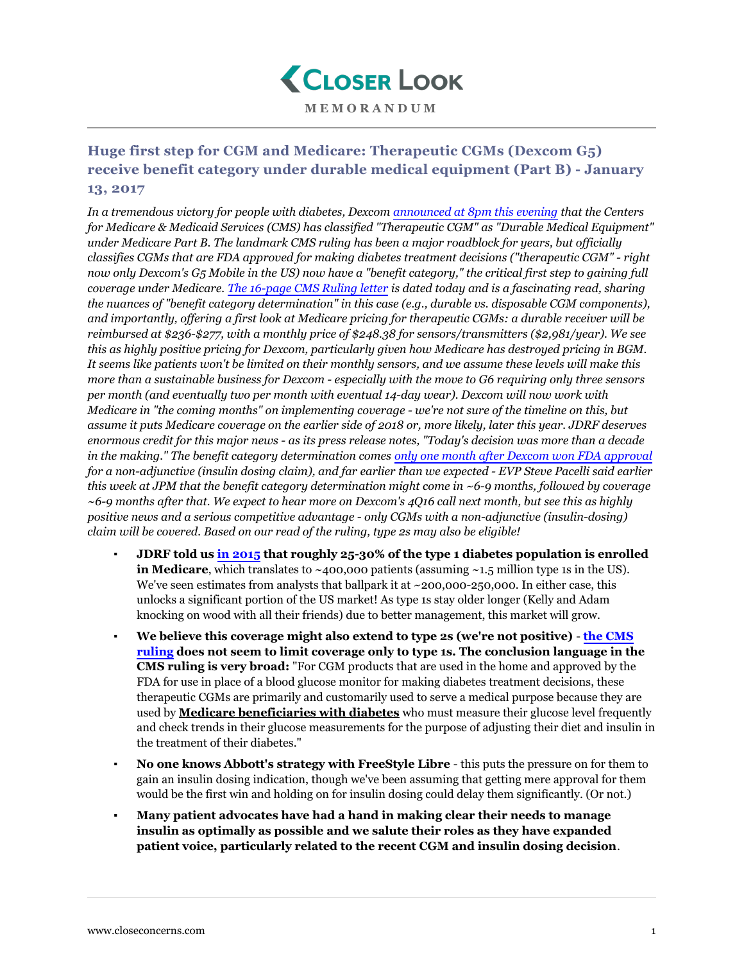

## **Huge first step for CGM and Medicare: Therapeutic CGMs (Dexcom G5) receive benefit category under durable medical equipment (Part B) - January 13, 2017**

*In a tremendous victory for people with diabetes, Dexcom [announced at 8pm this evening](http://investor.shareholder.com/dexcom/releaseDetail.cfm?ReleaseID=1007878) that the Centers for Medicare & Medicaid Services (CMS) has classified "Therapeutic CGM" as "Durable Medical Equipment" under Medicare Part B. The landmark CMS ruling has been a major roadblock for years, but officially classifies CGMs that are FDA approved for making diabetes treatment decisions ("therapeutic CGM" - right now only Dexcom's G5 Mobile in the US) now have a "benefit category," the critical first step to gaining full coverage under Medicare. [The 16-page CMS Ruling letter](https://www.cms.gov/Regulations-and-Guidance/Guidance/Rulings/Downloads/CMS1682R.pdf) is dated today and is a fascinating read, sharing the nuances of "benefit category determination" in this case (e.g., durable vs. disposable CGM components), and importantly, offering a first look at Medicare pricing for therapeutic CGMs: a durable receiver will be reimbursed at \$236-\$277, with a monthly price of \$248.38 for sensors/transmitters (\$2,981/year). We see this as highly positive pricing for Dexcom, particularly given how Medicare has destroyed pricing in BGM. It seems like patients won't be limited on their monthly sensors, and we assume these levels will make this more than a sustainable business for Dexcom - especially with the move to G6 requiring only three sensors per month (and eventually two per month with eventual 14-day wear). Dexcom will now work with Medicare in "the coming months" on implementing coverage - we're not sure of the timeline on this, but assume it puts Medicare coverage on the earlier side of 2018 or, more likely, later this year. JDRF deserves enormous credit for this major news - as its press release notes, "Today's decision was more than a decade in the making." The benefit category determination comes [only one month after Dexcom won FDA approval](https://www.closeconcerns.com/knowledgebase/r/c0f78662) for a non-adjunctive (insulin dosing claim), and far earlier than we expected - EVP Steve Pacelli said earlier this week at JPM that the benefit category determination might come in ~6-9 months, followed by coverage ~6-9 months after that. We expect to hear more on Dexcom's 4Q16 call next month, but see this as highly positive news and a serious competitive advantage - only CGMs with a non-adjunctive (insulin-dosing) claim will be covered. Based on our read of the ruling, type 2s may also be eligible!*

- **JDRF told us [in 2015](https://www.closeconcerns.com/knowledgebase/r/eec0f945) that roughly 25-30% of the type 1 diabetes population is enrolled in Medicare**, which translates to  $\sim$ 400,000 patients (assuming  $\sim$ 1.5 million type 1s in the US). We've seen estimates from analysts that ballpark it at  $\sim$  200,000-250,000. In either case, this unlocks a significant portion of the US market! As type 1s stay older longer (Kelly and Adam knocking on wood with all their friends) due to better management, this market will grow.
- **We believe this coverage might also extend to type 2s (we're not positive) [the CMS](https://www.cms.gov/Regulations-and-Guidance/Guidance/Rulings/Downloads/CMS1682R.pdf) [ruling](https://www.cms.gov/Regulations-and-Guidance/Guidance/Rulings/Downloads/CMS1682R.pdf) does not seem to limit coverage only to type 1s. The conclusion language in the CMS ruling is very broad:** "For CGM products that are used in the home and approved by the FDA for use in place of a blood glucose monitor for making diabetes treatment decisions, these therapeutic CGMs are primarily and customarily used to serve a medical purpose because they are used by **Medicare beneficiaries with diabetes** who must measure their glucose level frequently and check trends in their glucose measurements for the purpose of adjusting their diet and insulin in the treatment of their diabetes."
- **No one knows Abbott's strategy with FreeStyle Libre** this puts the pressure on for them to gain an insulin dosing indication, though we've been assuming that getting mere approval for them would be the first win and holding on for insulin dosing could delay them significantly. (Or not.)
- **Many patient advocates have had a hand in making clear their needs to manage insulin as optimally as possible and we salute their roles as they have expanded patient voice, particularly related to the recent CGM and insulin dosing decision**.